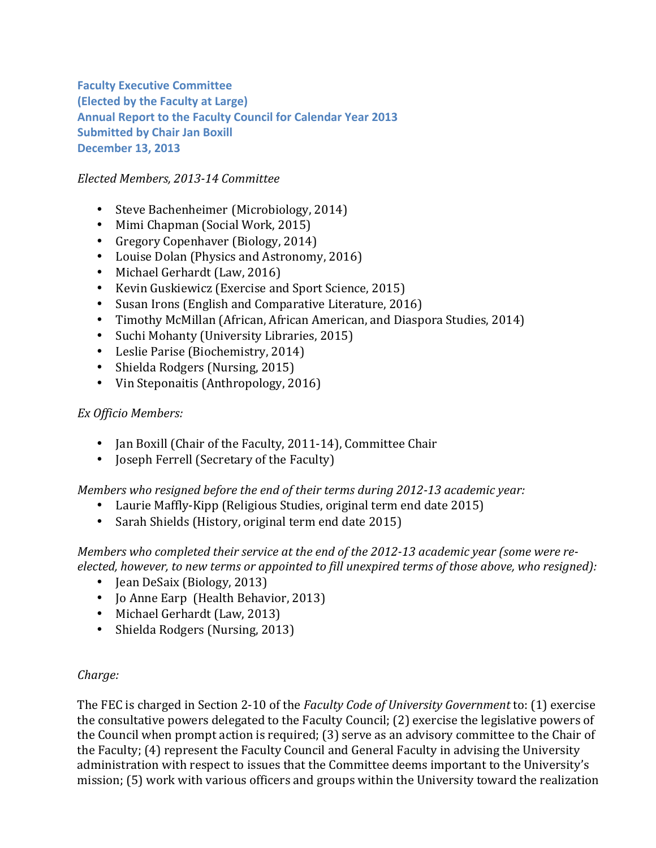**Faculty Executive Committee (Elected by the Faculty at Large)** Annual Report to the Faculty Council for Calendar Year 2013 **Submitted by Chair Jan Boxill December 13, 2013** 

## *Elected'Members,'2013214 Committee*

- Steve Bachenheimer (Microbiology, 2014)
- Mimi Chapman (Social Work, 2015)
- Gregory Copenhaver (Biology, 2014)
- Louise Dolan (Physics and Astronomy, 2016)
- Michael Gerhardt (Law, 2016)
- Kevin Guskiewicz (Exercise and Sport Science, 2015)
- Susan Irons (English and Comparative Literature, 2016)
- Timothy McMillan (African, African American, and Diaspora Studies, 2014)
- Suchi Mohanty (University Libraries, 2015)
- Leslie Parise (Biochemistry, 2014)
- Shielda Rodgers (Nursing, 2015)
- Vin Steponaitis (Anthropology, 2016)

#### *Ex'Officio'Members:*

- Jan Boxill (Chair of the Faculty, 2011-14), Committee Chair
- Joseph Ferrell (Secretary of the Faculty)

#### *Members'who'resigned'before'the'end'of'their'terms'during'2012213'academic'year:*

- Laurie Maffly-Kipp (Religious Studies, original term end date 2015)
- Sarah Shields (History, original term end date 2015)

*Members'who'completed'their'service'at'the'end'of'the'2012213 academic'year (some'were're2 elected,'however,'to'new'terms or'appointed'to'fill'unexpired'terms'of'those'above,'who'resigned):*

- Jean DeSaix (Biology, 2013)
- Jo Anne Earp (Health Behavior, 2013)
- Michael Gerhardt (Law, 2013)
- Shielda Rodgers (Nursing, 2013)

#### *Charge:*

The FEC is charged in Section 2-10 of the *Faculty Code of University Government* to: (1) exercise the consultative powers delegated to the Faculty Council; (2) exercise the legislative powers of the Council when prompt action is required; (3) serve as an advisory committee to the Chair of the Faculty; (4) represent the Faculty Council and General Faculty in advising the University administration with respect to issues that the Committee deems important to the University's mission; (5) work with various officers and groups within the University toward the realization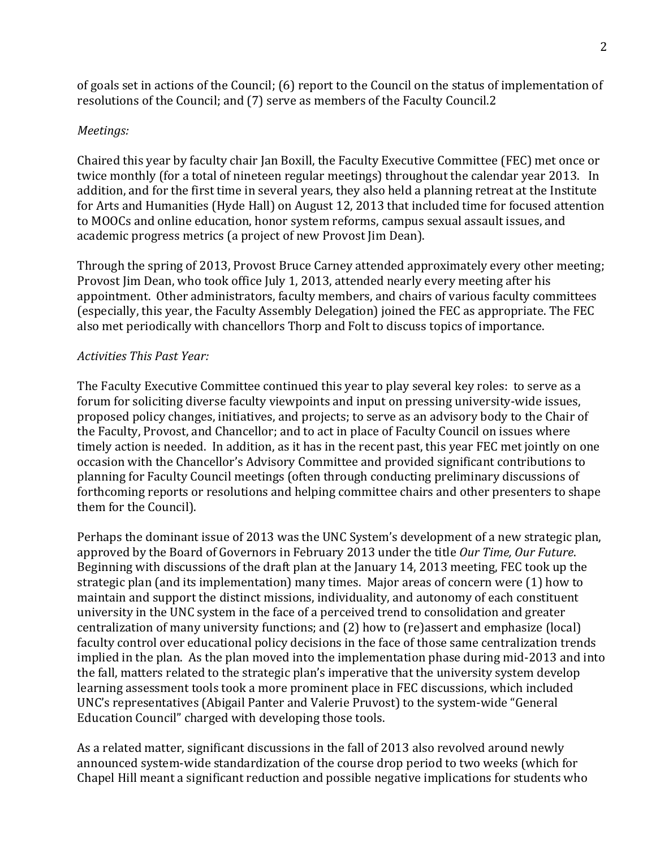of goals set in actions of the Council;  $(6)$  report to the Council on the status of implementation of resolutions of the Council; and (7) serve as members of the Faculty Council.2

### *Meetings:*

Chaired this year by faculty chair Jan Boxill, the Faculty Executive Committee (FEC) met once or twice monthly (for a total of nineteen regular meetings) throughout the calendar year 2013. In addition, and for the first time in several years, they also held a planning retreat at the Institute for Arts and Humanities (Hyde Hall) on August 12, 2013 that included time for focused attention to MOOCs and online education, honor system reforms, campus sexual assault issues, and academic progress metrics (a project of new Provost Jim Dean).

Through the spring of 2013, Provost Bruce Carney attended approximately every other meeting; Provost Jim Dean, who took office July 1, 2013, attended nearly every meeting after his appointment. Other administrators, faculty members, and chairs of various faculty committees (especially, this year, the Faculty Assembly Delegation) joined the FEC as appropriate. The FEC also met periodically with chancellors Thorp and Folt to discuss topics of importance.

# *Activities'This'Past'Year:*

The Faculty Executive Committee continued this year to play several key roles: to serve as a forum for soliciting diverse faculty viewpoints and input on pressing university-wide issues, proposed policy changes, initiatives, and projects; to serve as an advisory body to the Chair of the Faculty, Provost, and Chancellor; and to act in place of Faculty Council on issues where timely action is needed. In addition, as it has in the recent past, this year FEC met jointly on one occasion with the Chancellor's Advisory Committee and provided significant contributions to planning for Faculty Council meetings (often through conducting preliminary discussions of forthcoming reports or resolutions and helping committee chairs and other presenters to shape them for the Council).

Perhaps the dominant issue of 2013 was the UNC System's development of a new strategic plan, approved by the Board of Governors in February 2013 under the title Our Time, Our Future. Beginning with discussions of the draft plan at the January 14, 2013 meeting, FEC took up the strategic plan (and its implementation) many times. Major areas of concern were (1) how to maintain and support the distinct missions, individuality, and autonomy of each constituent university in the UNC system in the face of a perceived trend to consolidation and greater centralization of many university functions; and (2) how to (re)assert and emphasize (local) faculty control over educational policy decisions in the face of those same centralization trends implied in the plan. As the plan moved into the implementation phase during mid-2013 and into the fall, matters related to the strategic plan's imperative that the university system develop learning assessment tools took a more prominent place in FEC discussions, which included UNC's representatives (Abigail Panter and Valerie Pruvost) to the system-wide "General Education Council" charged with developing those tools.

As a related matter, significant discussions in the fall of 2013 also revolved around newly announced system-wide standardization of the course drop period to two weeks (which for Chapel Hill meant a significant reduction and possible negative implications for students who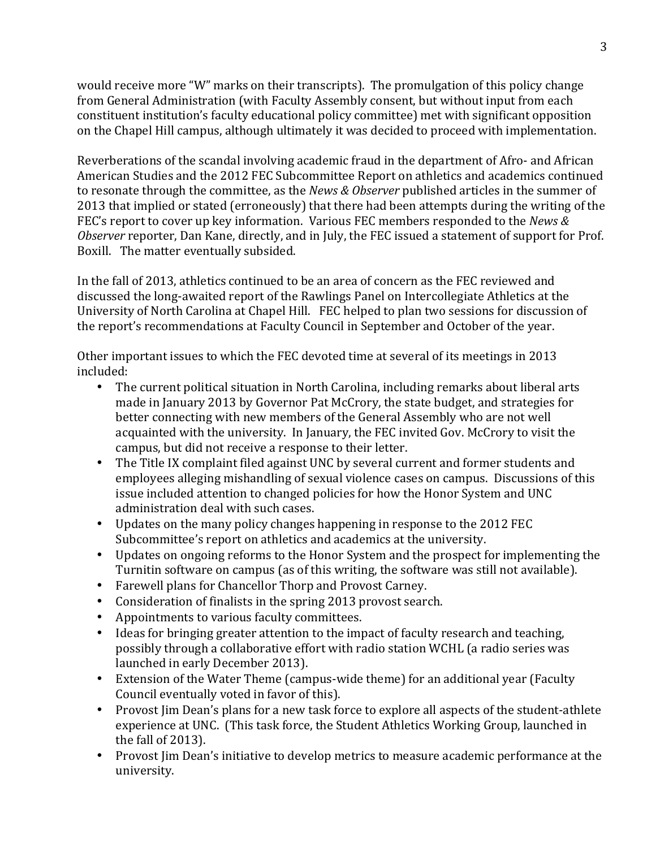would receive more "W" marks on their transcripts). The promulgation of this policy change from General Administration (with Faculty Assembly consent, but without input from each constituent institution's faculty educational policy committee) met with significant opposition on the Chapel Hill campus, although ultimately it was decided to proceed with implementation.

Reverberations of the scandal involving academic fraud in the department of Afro- and African American Studies and the 2012 FEC Subcommittee Report on athletics and academics continued to resonate through the committee, as the *News & Observer* published articles in the summer of 2013 that implied or stated (erroneously) that there had been attempts during the writing of the FEC's report to cover up key information. Various FEC members responded to the *News & Observer* reporter, Dan Kane, directly, and in July, the FEC issued a statement of support for Prof. Boxill. The matter eventually subsided.

In the fall of 2013, athletics continued to be an area of concern as the FEC reviewed and discussed the long-awaited report of the Rawlings Panel on Intercollegiate Athletics at the University of North Carolina at Chapel Hill. FEC helped to plan two sessions for discussion of the report's recommendations at Faculty Council in September and October of the year.

Other important issues to which the FEC devoted time at several of its meetings in 2013 included:

- The current political situation in North Carolina, including remarks about liberal arts made in January 2013 by Governor Pat McCrory, the state budget, and strategies for better connecting with new members of the General Assembly who are not well acquainted with the university. In January, the FEC invited Gov. McCrory to visit the campus, but did not receive a response to their letter.
- The Title IX complaint filed against UNC by several current and former students and employees alleging mishandling of sexual violence cases on campus. Discussions of this issue included attention to changed policies for how the Honor System and UNC administration deal with such cases.
- Updates on the many policy changes happening in response to the 2012 FEC Subcommittee's report on athletics and academics at the university.
- Updates on ongoing reforms to the Honor System and the prospect for implementing the Turnitin software on campus (as of this writing, the software was still not available).
- Farewell plans for Chancellor Thorp and Provost Carney.
- Consideration of finalists in the spring 2013 provost search.
- Appointments to various faculty committees.
- Ideas for bringing greater attention to the impact of faculty research and teaching, possibly through a collaborative effort with radio station WCHL (a radio series was launched in early December 2013).
- Extension of the Water Theme (campus-wide theme) for an additional year (Faculty Council eventually voted in favor of this).
- Provost Jim Dean's plans for a new task force to explore all aspects of the student-athlete experience at UNC. (This task force, the Student Athletics Working Group, launched in the fall of 2013).
- Provost Jim Dean's initiative to develop metrics to measure academic performance at the university.